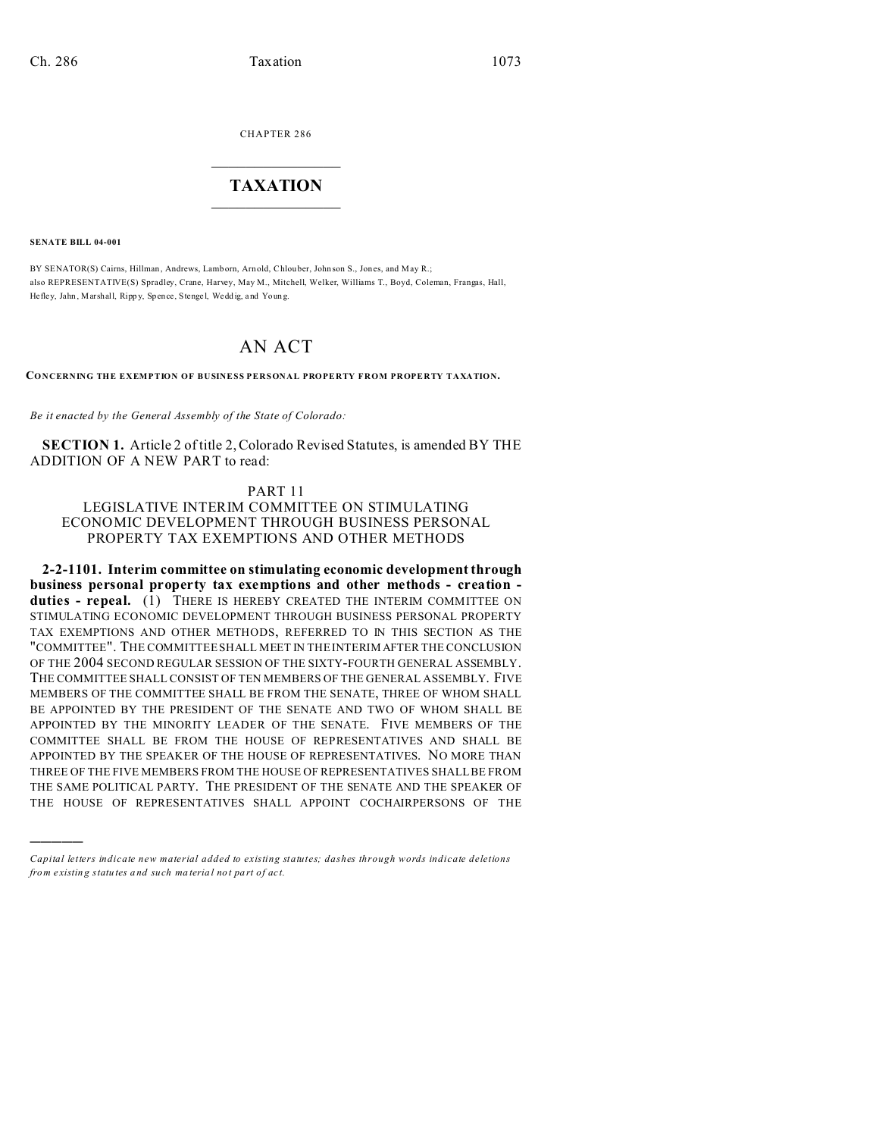CHAPTER 286  $\overline{\phantom{a}}$  , where  $\overline{\phantom{a}}$ 

## **TAXATION**  $\_$

**SENATE BILL 04-001**

)))))

BY SENATOR(S) Cairns, Hillman, Andrews, Lamborn, Arnold, Chlou ber, John son S., Jon es, and May R.; also REPRESENTATIVE(S) Spradley, Crane, Harvey, May M., Mitchell, Welker, Williams T., Boyd, Coleman, Frangas, Hall, Hefley, Jahn, Marshall, Rippy, Spence, Stengel, Weddig, and Young.

## AN ACT

**CONCERNING THE EXEMPTION OF BUSINESS PERSONAL PROPERTY FROM PROPERTY TAXATION.**

*Be it enacted by the General Assembly of the State of Colorado:*

**SECTION 1.** Article 2 of title 2, Colorado Revised Statutes, is amended BY THE ADDITION OF A NEW PART to read:

## PART 11

LEGISLATIVE INTERIM COMMITTEE ON STIMULATING ECONOMIC DEVELOPMENT THROUGH BUSINESS PERSONAL PROPERTY TAX EXEMPTIONS AND OTHER METHODS

**2-2-1101. Interim committee on stimulating economic development through business personal property tax exemptions and other methods - creation**  duties - repeal. (1) THERE IS HEREBY CREATED THE INTERIM COMMITTEE ON STIMULATING ECONOMIC DEVELOPMENT THROUGH BUSINESS PERSONAL PROPERTY TAX EXEMPTIONS AND OTHER METHODS, REFERRED TO IN THIS SECTION AS THE "COMMITTEE". THE COMMITTEE SHALL MEET IN THE INTERIM AFTER THE CONCLUSION OF THE 2004 SECOND REGULAR SESSION OF THE SIXTY-FOURTH GENERAL ASSEMBLY. THE COMMITTEE SHALL CONSIST OF TEN MEMBERS OF THE GENERAL ASSEMBLY. FIVE MEMBERS OF THE COMMITTEE SHALL BE FROM THE SENATE, THREE OF WHOM SHALL BE APPOINTED BY THE PRESIDENT OF THE SENATE AND TWO OF WHOM SHALL BE APPOINTED BY THE MINORITY LEADER OF THE SENATE. FIVE MEMBERS OF THE COMMITTEE SHALL BE FROM THE HOUSE OF REPRESENTATIVES AND SHALL BE APPOINTED BY THE SPEAKER OF THE HOUSE OF REPRESENTATIVES. NO MORE THAN THREE OF THE FIVE MEMBERS FROM THE HOUSE OF REPRESENTATIVES SHALL BE FROM THE SAME POLITICAL PARTY. THE PRESIDENT OF THE SENATE AND THE SPEAKER OF THE HOUSE OF REPRESENTATIVES SHALL APPOINT COCHAIRPERSONS OF THE

*Capital letters indicate new material added to existing statutes; dashes through words indicate deletions from e xistin g statu tes a nd such ma teria l no t pa rt of ac t.*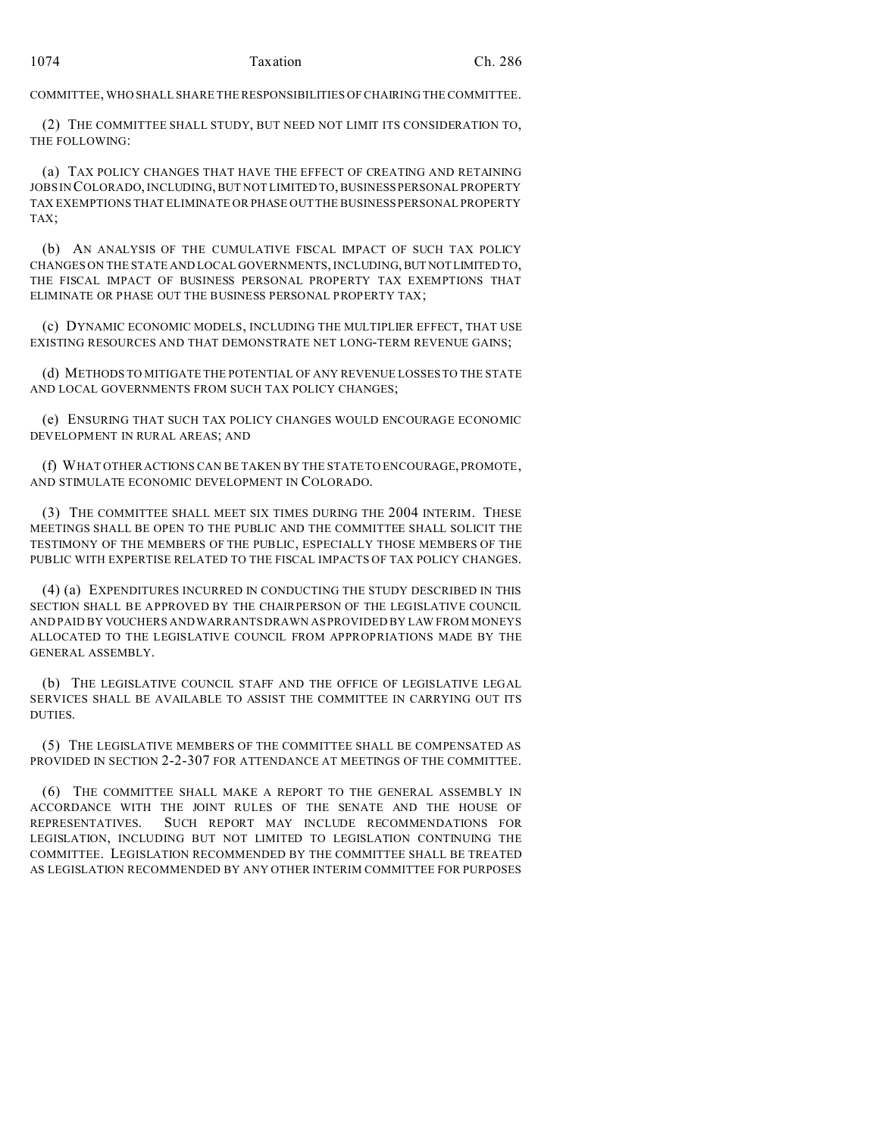COMMITTEE, WHO SHALL SHARE THE RESPONSIBILITIES OF CHAIRING THE COMMITTEE.

(2) THE COMMITTEE SHALL STUDY, BUT NEED NOT LIMIT ITS CONSIDERATION TO, THE FOLLOWING:

(a) TAX POLICY CHANGES THAT HAVE THE EFFECT OF CREATING AND RETAINING JOBS IN COLORADO, INCLUDING, BUT NOT LIMITED TO, BUSINESS PERSONAL PROPERTY TAX EXEMPTIONS THAT ELIMINATE OR PHASE OUT THE BUSINESS PERSONAL PROPERTY TAX;

(b) AN ANALYSIS OF THE CUMULATIVE FISCAL IMPACT OF SUCH TAX POLICY CHANGES ON THE STATE AND LOCAL GOVERNMENTS, INCLUDING, BUT NOTLIMITED TO, THE FISCAL IMPACT OF BUSINESS PERSONAL PROPERTY TAX EXEMPTIONS THAT ELIMINATE OR PHASE OUT THE BUSINESS PERSONAL PROPERTY TAX;

(c) DYNAMIC ECONOMIC MODELS, INCLUDING THE MULTIPLIER EFFECT, THAT USE EXISTING RESOURCES AND THAT DEMONSTRATE NET LONG-TERM REVENUE GAINS;

(d) METHODS TO MITIGATE THE POTENTIAL OF ANY REVENUE LOSSES TO THE STATE AND LOCAL GOVERNMENTS FROM SUCH TAX POLICY CHANGES;

(e) ENSURING THAT SUCH TAX POLICY CHANGES WOULD ENCOURAGE ECONOMIC DEVELOPMENT IN RURAL AREAS; AND

(f) WHAT OTHER ACTIONS CAN BE TAKEN BY THE STATE TO ENCOURAGE, PROMOTE, AND STIMULATE ECONOMIC DEVELOPMENT IN COLORADO.

(3) THE COMMITTEE SHALL MEET SIX TIMES DURING THE 2004 INTERIM. THESE MEETINGS SHALL BE OPEN TO THE PUBLIC AND THE COMMITTEE SHALL SOLICIT THE TESTIMONY OF THE MEMBERS OF THE PUBLIC, ESPECIALLY THOSE MEMBERS OF THE PUBLIC WITH EXPERTISE RELATED TO THE FISCAL IMPACTS OF TAX POLICY CHANGES.

(4) (a) EXPENDITURES INCURRED IN CONDUCTING THE STUDY DESCRIBED IN THIS SECTION SHALL BE APPROVED BY THE CHAIRPERSON OF THE LEGISLATIVE COUNCIL AND PAID BY VOUCHERS AND WARRANTS DRAWN AS PROVIDED BY LAW FROM MONEYS ALLOCATED TO THE LEGISLATIVE COUNCIL FROM APPROPRIATIONS MADE BY THE GENERAL ASSEMBLY.

(b) THE LEGISLATIVE COUNCIL STAFF AND THE OFFICE OF LEGISLATIVE LEGAL SERVICES SHALL BE AVAILABLE TO ASSIST THE COMMITTEE IN CARRYING OUT ITS DUTIES.

(5) THE LEGISLATIVE MEMBERS OF THE COMMITTEE SHALL BE COMPENSATED AS PROVIDED IN SECTION 2-2-307 FOR ATTENDANCE AT MEETINGS OF THE COMMITTEE.

(6) THE COMMITTEE SHALL MAKE A REPORT TO THE GENERAL ASSEMBLY IN ACCORDANCE WITH THE JOINT RULES OF THE SENATE AND THE HOUSE OF REPRESENTATIVES. SUCH REPORT MAY INCLUDE RECOMMENDATIONS FOR LEGISLATION, INCLUDING BUT NOT LIMITED TO LEGISLATION CONTINUING THE COMMITTEE. LEGISLATION RECOMMENDED BY THE COMMITTEE SHALL BE TREATED AS LEGISLATION RECOMMENDED BY ANY OTHER INTERIM COMMITTEE FOR PURPOSES